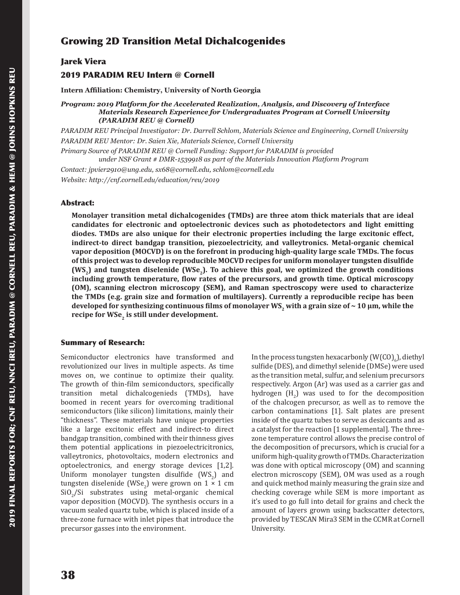# Growing 2D Transition Metal Dichalcogenides

## Jarek Viera

## 2019 PARADIM REU Intern @ Cornell

**Intern Affiliation: Chemistry, University of North Georgia**

*Program: 2019 Platform for the Accelerated Realization, Analysis, and Discovery of Interface Materials Research Experience for Undergraduates Program at Cornell University (PARADIM REU @ Cornell)*

*PARADIM REU Principal Investigator: Dr. Darrell Schlom, Materials Science and Engineering, Cornell University PARADIM REU Mentor: Dr. Saien Xie, Materials Science, Cornell University*

*Primary Source of PARADIM REU @ Cornell Funding: Support for PARADIM is provided under NSF Grant # DMR-1539918 as part of the Materials Innovation Platform Program*

*Contact: jpvier2910@ung.edu, sx68@cornell.edu, schlom@cornell.edu Website: http://cnf.cornell.edu/education/reu/2019*

#### Abstract:

**Monolayer transition metal dichalcogenides (TMDs) are three atom thick materials that are ideal candidates for electronic and optoelectronic devices such as photodetectors and light emitting diodes. TMDs are also unique for their electronic properties including the large excitonic effect, indirect-to direct bandgap transition, piezoelectricity, and valleytronics. Metal-organic chemical vapor deposition (MOCVD) is on the forefront in producing high-quality large scale TMDs. The focus of this project was to develop reproducible MOCVD recipes for uniform monolayer tungsten disulfide (WS2) and tungsten diselenide (WSe2). To achieve this goal, we optimized the growth conditions including growth temperature, flow rates of the precursors, and growth time. Optical microscopy (OM), scanning electron microscopy (SEM), and Raman spectroscopy were used to characterize the TMDs (e.g. grain size and formation of multilayers). Currently a reproducible recipe has been developed for synthesizing continuous films of monolayer WS2 with a grain size of ~ 10 µm, while the**  recipe for WSe<sub>2</sub> is still under development.

### Summary of Research:

Semiconductor electronics have transformed and revolutionized our lives in multiple aspects. As time moves on, we continue to optimize their quality. The growth of thin-film semiconductors, specifically transition metal dichalcogenieds (TMDs), have boomed in recent years for overcoming traditional semiconductors (like silicon) limitations, mainly their "thickness". These materials have unique properties like a large excitonic effect and indirect-to direct bandgap transition, combined with their thinness gives them potential applications in piezoelectricitronics, valleytronics, photovoltaics, modern electronics and optoelectronics, and energy storage devices [1,2]. Uniform monolayer tungsten disulfide  $(WS_2)$  and tungsten diselenide (WSe<sub>2</sub>) were grown on  $1 \times 1$  cm  $\text{SiO}_2/\text{Si}$  substrates using metal-organic chemical vapor deposition (MOCVD). The synthesis occurs in a vacuum sealed quartz tube, which is placed inside of a three-zone furnace with inlet pipes that introduce the precursor gasses into the environment.

In the process tungsten hexacarbonly  $(W(CO)_{6})$ , diethyl sulfide (DES), and dimethyl selenide (DMSe) were used as the transition metal, sulfur, and selenium precursors respectively. Argon (Ar) was used as a carrier gas and hydrogen  $(H_2)$  was used to for the decomposition of the chalcogen precursor, as well as to remove the carbon contaminations [1]. Salt plates are present inside of the quartz tubes to serve as desiccants and as a catalyst for the reaction [1 supplemental]. The threezone temperature control allows the precise control of the decomposition of precursors, which is crucial for a uniform high-quality growth of TMDs. Characterization was done with optical microscopy (OM) and scanning electron microscopy (SEM), OM was used as a rough and quick method mainly measuring the grain size and checking coverage while SEM is more important as it's used to go full into detail for grains and check the amount of layers grown using backscatter detectors, provided by TESCAN Mira3 SEM in the CCMR at Cornell University.